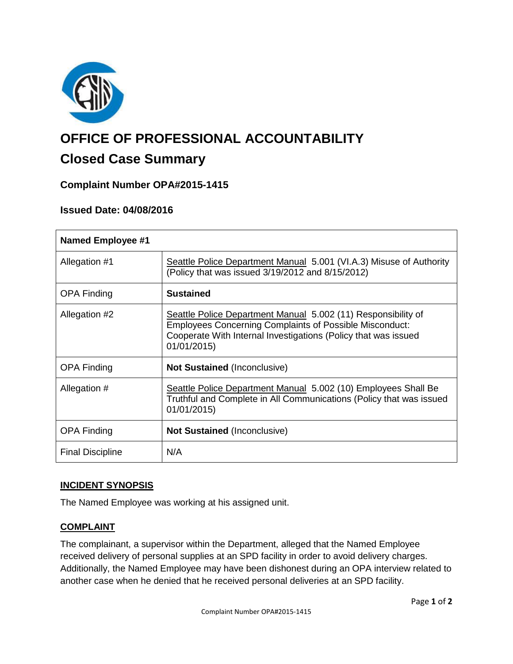

# **OFFICE OF PROFESSIONAL ACCOUNTABILITY**

# **Closed Case Summary**

# **Complaint Number OPA#2015-1415**

# **Issued Date: 04/08/2016**

| <b>Named Employee #1</b> |                                                                                                                                                                                                                  |
|--------------------------|------------------------------------------------------------------------------------------------------------------------------------------------------------------------------------------------------------------|
| Allegation #1            | Seattle Police Department Manual 5.001 (VI.A.3) Misuse of Authority<br>(Policy that was issued 3/19/2012 and 8/15/2012)                                                                                          |
| <b>OPA Finding</b>       | <b>Sustained</b>                                                                                                                                                                                                 |
| Allegation #2            | Seattle Police Department Manual 5.002 (11) Responsibility of<br><b>Employees Concerning Complaints of Possible Misconduct:</b><br>Cooperate With Internal Investigations (Policy that was issued<br>01/01/2015) |
| <b>OPA Finding</b>       | <b>Not Sustained (Inconclusive)</b>                                                                                                                                                                              |
| Allegation #             | Seattle Police Department Manual 5.002 (10) Employees Shall Be<br>Truthful and Complete in All Communications (Policy that was issued<br>01/01/2015)                                                             |
| <b>OPA Finding</b>       | <b>Not Sustained (Inconclusive)</b>                                                                                                                                                                              |
| <b>Final Discipline</b>  | N/A                                                                                                                                                                                                              |

## **INCIDENT SYNOPSIS**

The Named Employee was working at his assigned unit.

#### **COMPLAINT**

The complainant, a supervisor within the Department, alleged that the Named Employee received delivery of personal supplies at an SPD facility in order to avoid delivery charges. Additionally, the Named Employee may have been dishonest during an OPA interview related to another case when he denied that he received personal deliveries at an SPD facility.